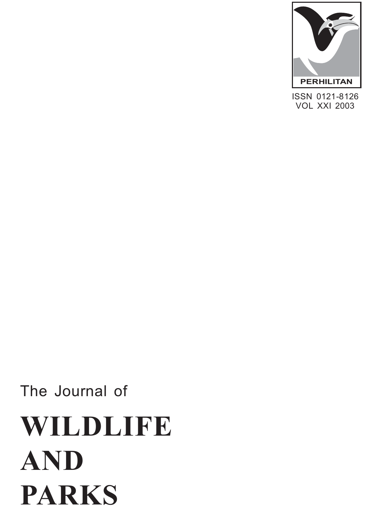

ISSN 0121-8126 **PERHILITAN<br>SSN 0121-8126<br>VOL XXI 2003** 

# The Journal of **WILDLIFE AND PARKS**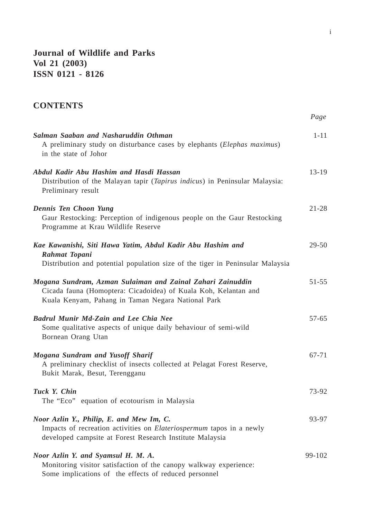**Journal of Wildlife and Parks Vol 21 (2003) ISSN 0121 - 8126**

## **CONTENTS**

|                                                                                                                                                                                     | Page      |
|-------------------------------------------------------------------------------------------------------------------------------------------------------------------------------------|-----------|
| Salman Saaban and Nasharuddin Othman<br>A preliminary study on disturbance cases by elephants (Elephas maximus)<br>in the state of Johor                                            | $1 - 11$  |
| Abdul Kadir Abu Hashim and Hasdi Hassan<br>Distribution of the Malayan tapir (Tapirus indicus) in Peninsular Malaysia:<br>Preliminary result                                        | $13-19$   |
| Dennis Ten Choon Yung<br>Gaur Restocking: Perception of indigenous people on the Gaur Restocking<br>Programme at Krau Wildlife Reserve                                              | $21 - 28$ |
| Kae Kawanishi, Siti Hawa Yatim, Abdul Kadir Abu Hashim and<br>Rahmat Topani<br>Distribution and potential population size of the tiger in Peninsular Malaysia                       | 29-50     |
| Mogana Sundram, Azman Sulaiman and Zainal Zahari Zainuddin<br>Cicada fauna (Homoptera: Cicadoidea) of Kuala Koh, Kelantan and<br>Kuala Kenyam, Pahang in Taman Negara National Park | $51 - 55$ |
| <b>Badrul Munir Md-Zain and Lee Chia Nee</b><br>Some qualitative aspects of unique daily behaviour of semi-wild<br>Bornean Orang Utan                                               | $57-65$   |
| Mogana Sundram and Yusoff Sharif<br>A preliminary checklist of insects collected at Pelagat Forest Reserve,<br>Bukit Marak, Besut, Terengganu                                       | 67-71     |
| Tuck Y. Chin<br>The "Eco" equation of ecotourism in Malaysia                                                                                                                        | 73-92     |
| Noor Azlin Y., Philip, E. and Mew Im, C.<br>Impacts of recreation activities on Elateriospermum tapos in a newly<br>developed campsite at Forest Research Institute Malaysia        | 93-97     |
| Noor Azlin Y. and Syamsul H. M. A.<br>Monitoring visitor satisfaction of the canopy walkway experience:<br>Some implications of the effects of reduced personnel                    | 99-102    |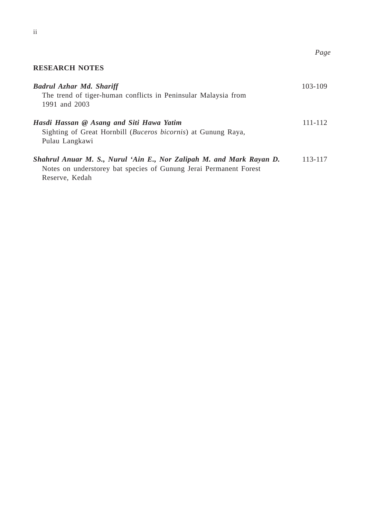## **RESEARCH NOTES**

| Badrul Azhar Md. Shariff<br>The trend of tiger-human conflicts in Peninsular Malaysia from<br>1991 and 2003                                                 | 103-109 |
|-------------------------------------------------------------------------------------------------------------------------------------------------------------|---------|
| Hasdi Hassan @ Asang and Siti Hawa Yatim<br>Sighting of Great Hornbill (Buceros bicornis) at Gunung Raya,<br>Pulau Langkawi                                 | 111-112 |
| Shahrul Anuar M. S., Nurul 'Ain E., Nor Zalipah M. and Mark Rayan D.<br>Notes on understorey bat species of Gunung Jerai Permanent Forest<br>Reserve, Kedah | 113-117 |